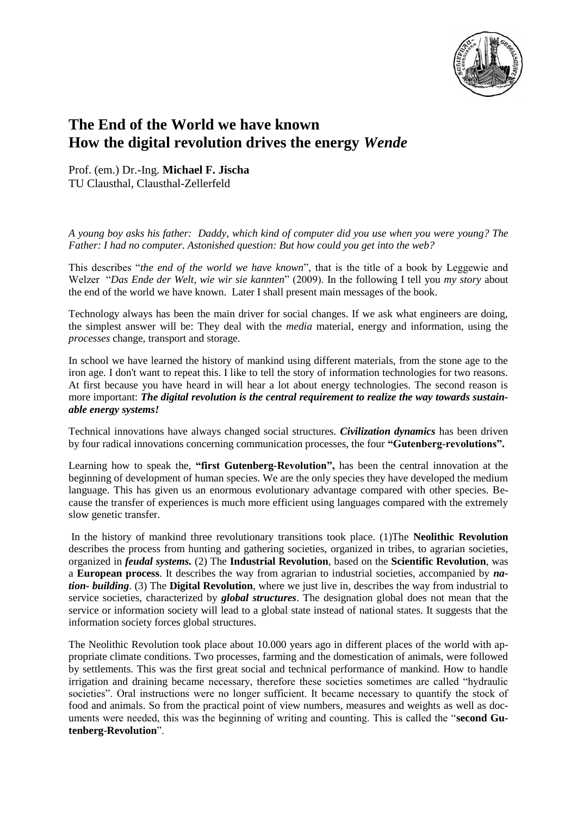

## **The End of the World we have known How the digital revolution drives the energy** *Wende*

Prof. (em.) Dr.-Ing. **Michael F. Jischa** TU Clausthal, Clausthal-Zellerfeld

*A young boy asks his father: Daddy, which kind of computer did you use when you were young? The Father: I had no computer. Astonished question: But how could you get into the web?*

This describes "*the end of the world we have known*", that is the title of a book by Leggewie and Welzer "*Das Ende der Welt, wie wir sie kannten*" (2009). In the following I tell you *my story* about the end of the world we have known. Later I shall present main messages of the book.

Technology always has been the main driver for social changes. If we ask what engineers are doing, the simplest answer will be: They deal with the *media* material, energy and information, using the *processes* change, transport and storage.

In school we have learned the history of mankind using different materials, from the stone age to the iron age. I don't want to repeat this. I like to tell the story of information technologies for two reasons. At first because you have heard in will hear a lot about energy technologies. The second reason is more important: *The digital revolution is the central requirement to realize the way towards sustainable energy systems!*

Technical innovations have always changed social structures. *Civilization dynamics* has been driven by four radical innovations concerning communication processes, the four **"Gutenberg-revolutions".**

Learning how to speak the, **"first Gutenberg-Revolution",** has been the central innovation at the beginning of development of human species. We are the only species they have developed the medium language. This has given us an enormous evolutionary advantage compared with other species. Because the transfer of experiences is much more efficient using languages compared with the extremely slow genetic transfer.

In the history of mankind three revolutionary transitions took place. (1)The **Neolithic Revolution** describes the process from hunting and gathering societies, organized in tribes, to agrarian societies, organized in *feudal systems.* (2) The **Industrial Revolution**, based on the **Scientific Revolution**, was a **European process**. It describes the way from agrarian to industrial societies, accompanied by *nation- building*. (3) The **Digital Revolution**, where we just live in, describes the way from industrial to service societies, characterized by *global structures*. The designation global does not mean that the service or information society will lead to a global state instead of national states. It suggests that the information society forces global structures.

The Neolithic Revolution took place about 10.000 years ago in different places of the world with appropriate climate conditions. Two processes, farming and the domestication of animals, were followed by settlements. This was the first great social and technical performance of mankind. How to handle irrigation and draining became necessary, therefore these societies sometimes are called "hydraulic societies". Oral instructions were no longer sufficient. It became necessary to quantify the stock of food and animals. So from the practical point of view numbers, measures and weights as well as documents were needed, this was the beginning of writing and counting. This is called the "**second Gutenberg**-**Revolution**".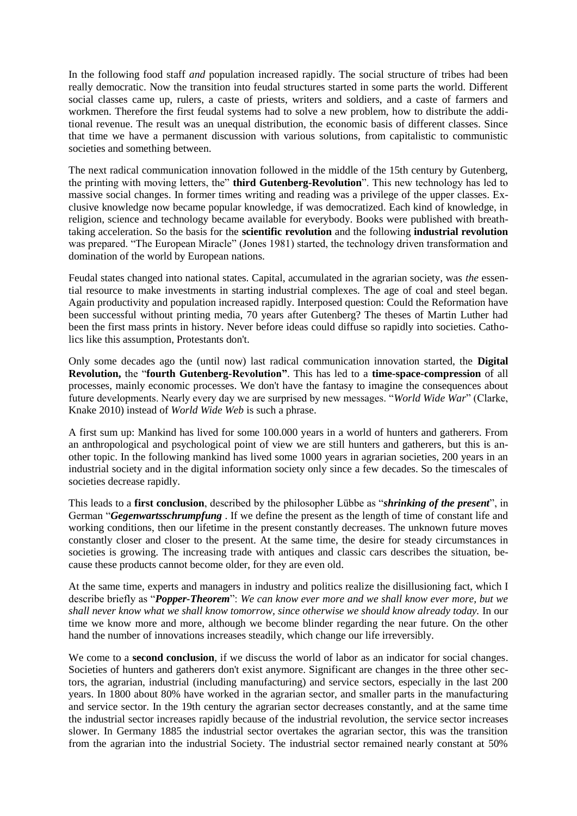In the following food staff *and* population increased rapidly. The social structure of tribes had been really democratic. Now the transition into feudal structures started in some parts the world. Different social classes came up, rulers, a caste of priests, writers and soldiers, and a caste of farmers and workmen. Therefore the first feudal systems had to solve a new problem, how to distribute the additional revenue. The result was an unequal distribution, the economic basis of different classes. Since that time we have a permanent discussion with various solutions, from capitalistic to communistic societies and something between.

The next radical communication innovation followed in the middle of the 15th century by Gutenberg, the printing with moving letters, the" **third Gutenberg-Revolution**". This new technology has led to massive social changes. In former times writing and reading was a privilege of the upper classes. Exclusive knowledge now became popular knowledge, if was democratized. Each kind of knowledge, in religion, science and technology became available for everybody. Books were published with breathtaking acceleration. So the basis for the **scientific revolution** and the following **industrial revolution** was prepared. "The European Miracle" (Jones 1981) started, the technology driven transformation and domination of the world by European nations.

Feudal states changed into national states. Capital, accumulated in the agrarian society, was *the* essential resource to make investments in starting industrial complexes. The age of coal and steel began. Again productivity and population increased rapidly. Interposed question: Could the Reformation have been successful without printing media, 70 years after Gutenberg? The theses of Martin Luther had been the first mass prints in history. Never before ideas could diffuse so rapidly into societies. Catholics like this assumption, Protestants don't.

Only some decades ago the (until now) last radical communication innovation started, the **Digital Revolution,** the "**fourth Gutenberg-Revolution"**. This has led to a **time-space-compression** of all processes, mainly economic processes. We don't have the fantasy to imagine the consequences about future developments. Nearly every day we are surprised by new messages. "*World Wide War*" (Clarke, Knake 2010) instead of *World Wide Web* is such a phrase.

A first sum up: Mankind has lived for some 100.000 years in a world of hunters and gatherers. From an anthropological and psychological point of view we are still hunters and gatherers, but this is another topic. In the following mankind has lived some 1000 years in agrarian societies, 200 years in an industrial society and in the digital information society only since a few decades. So the timescales of societies decrease rapidly.

This leads to a **first conclusion**, described by the philosopher Lübbe as "*shrinking of the present*", in German "*Gegenwartsschrumpfung* . If we define the present as the length of time of constant life and working conditions, then our lifetime in the present constantly decreases. The unknown future moves constantly closer and closer to the present. At the same time, the desire for steady circumstances in societies is growing. The increasing trade with antiques and classic cars describes the situation, because these products cannot become older, for they are even old.

At the same time, experts and managers in industry and politics realize the disillusioning fact, which I describe briefly as "*Popper-Theorem*": *We can know ever more and we shall know ever more, but we shall never know what we shall know tomorrow, since otherwise we should know already today.* In our time we know more and more, although we become blinder regarding the near future. On the other hand the number of innovations increases steadily, which change our life irreversibly.

We come to a **second conclusion**, if we discuss the world of labor as an indicator for social changes. Societies of hunters and gatherers don't exist anymore. Significant are changes in the three other sectors, the agrarian, industrial (including manufacturing) and service sectors, especially in the last 200 years. In 1800 about 80% have worked in the agrarian sector, and smaller parts in the manufacturing and service sector. In the 19th century the agrarian sector decreases constantly, and at the same time the industrial sector increases rapidly because of the industrial revolution, the service sector increases slower. In Germany 1885 the industrial sector overtakes the agrarian sector, this was the transition from the agrarian into the industrial Society. The industrial sector remained nearly constant at 50%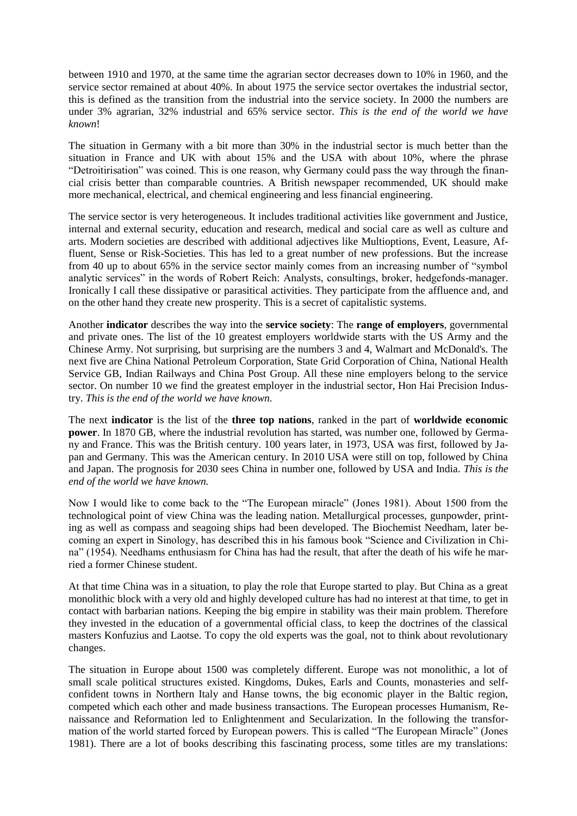between 1910 and 1970, at the same time the agrarian sector decreases down to 10% in 1960, and the service sector remained at about 40%. In about 1975 the service sector overtakes the industrial sector, this is defined as the transition from the industrial into the service society. In 2000 the numbers are under 3% agrarian, 32% industrial and 65% service sector. *This is the end of the world we have known*!

The situation in Germany with a bit more than 30% in the industrial sector is much better than the situation in France and UK with about 15% and the USA with about 10%, where the phrase "Detroitirisation" was coined. This is one reason, why Germany could pass the way through the financial crisis better than comparable countries. A British newspaper recommended, UK should make more mechanical, electrical, and chemical engineering and less financial engineering.

The service sector is very heterogeneous. It includes traditional activities like government and Justice, internal and external security, education and research, medical and social care as well as culture and arts. Modern societies are described with additional adjectives like Multioptions, Event, Leasure, Affluent, Sense or Risk-Societies. This has led to a great number of new professions. But the increase from 40 up to about 65% in the service sector mainly comes from an increasing number of "symbol analytic services" in the words of Robert Reich: Analysts, consultings, broker, hedgefonds-manager. Ironically I call these dissipative or parasitical activities. They participate from the affluence and, and on the other hand they create new prosperity. This is a secret of capitalistic systems.

Another **indicator** describes the way into the **service society**: The **range of employers**, governmental and private ones. The list of the 10 greatest employers worldwide starts with the US Army and the Chinese Army. Not surprising, but surprising are the numbers 3 and 4, Walmart and McDonald's. The next five are China National Petroleum Corporation, State Grid Corporation of China, National Health Service GB, Indian Railways and China Post Group. All these nine employers belong to the service sector. On number 10 we find the greatest employer in the industrial sector, Hon Hai Precision Industry. *This is the end of the world we have known.*

The next **indicator** is the list of the **three top nations**, ranked in the part of **worldwide economic power**. In 1870 GB, where the industrial revolution has started, was number one, followed by Germany and France. This was the British century. 100 years later, in 1973, USA was first, followed by Japan and Germany. This was the American century. In 2010 USA were still on top, followed by China and Japan. The prognosis for 2030 sees China in number one, followed by USA and India. *This is the end of the world we have known.*

Now I would like to come back to the "The European miracle" (Jones 1981). About 1500 from the technological point of view China was the leading nation. Metallurgical processes, gunpowder, printing as well as compass and seagoing ships had been developed. The Biochemist Needham, later becoming an expert in Sinology, has described this in his famous book "Science and Civilization in China" (1954). Needhams enthusiasm for China has had the result, that after the death of his wife he married a former Chinese student.

At that time China was in a situation, to play the role that Europe started to play. But China as a great monolithic block with a very old and highly developed culture has had no interest at that time, to get in contact with barbarian nations. Keeping the big empire in stability was their main problem. Therefore they invested in the education of a governmental official class, to keep the doctrines of the classical masters Konfuzius and Laotse. To copy the old experts was the goal, not to think about revolutionary changes.

The situation in Europe about 1500 was completely different. Europe was not monolithic, a lot of small scale political structures existed. Kingdoms, Dukes, Earls and Counts, monasteries and selfconfident towns in Northern Italy and Hanse towns, the big economic player in the Baltic region, competed which each other and made business transactions. The European processes Humanism, Renaissance and Reformation led to Enlightenment and Secularization. In the following the transformation of the world started forced by European powers. This is called "The European Miracle" (Jones 1981). There are a lot of books describing this fascinating process, some titles are my translations: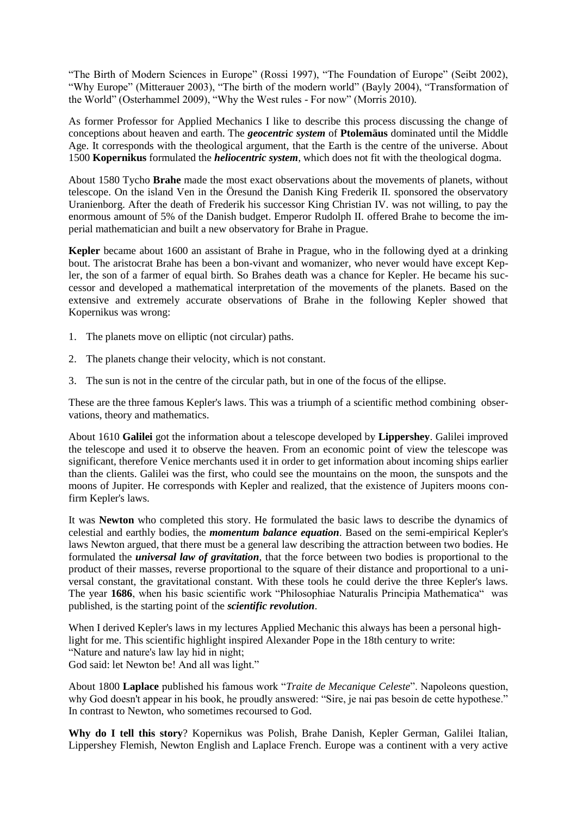"The Birth of Modern Sciences in Europe" (Rossi 1997), "The Foundation of Europe" (Seibt 2002), "Why Europe" (Mitterauer 2003), "The birth of the modern world" (Bayly 2004), "Transformation of the World" (Osterhammel 2009), "Why the West rules - For now" (Morris 2010).

As former Professor for Applied Mechanics I like to describe this process discussing the change of conceptions about heaven and earth. The *geocentric system* of **Ptolemäus** dominated until the Middle Age. It corresponds with the theological argument, that the Earth is the centre of the universe. About 1500 **Kopernikus** formulated the *heliocentric system*, which does not fit with the theological dogma.

About 1580 Tycho **Brahe** made the most exact observations about the movements of planets, without telescope. On the island Ven in the Öresund the Danish King Frederik II. sponsored the observatory Uranienborg. After the death of Frederik his successor King Christian IV. was not willing, to pay the enormous amount of 5% of the Danish budget. Emperor Rudolph II. offered Brahe to become the imperial mathematician and built a new observatory for Brahe in Prague.

**Kepler** became about 1600 an assistant of Brahe in Prague, who in the following dyed at a drinking bout. The aristocrat Brahe has been a bon-vivant and womanizer, who never would have except Kepler, the son of a farmer of equal birth. So Brahes death was a chance for Kepler. He became his successor and developed a mathematical interpretation of the movements of the planets. Based on the extensive and extremely accurate observations of Brahe in the following Kepler showed that Kopernikus was wrong:

- 1. The planets move on elliptic (not circular) paths.
- 2. The planets change their velocity, which is not constant.
- 3. The sun is not in the centre of the circular path, but in one of the focus of the ellipse.

These are the three famous Kepler's laws. This was a triumph of a scientific method combining observations, theory and mathematics.

About 1610 **Galilei** got the information about a telescope developed by **Lippershey**. Galilei improved the telescope and used it to observe the heaven. From an economic point of view the telescope was significant, therefore Venice merchants used it in order to get information about incoming ships earlier than the clients. Galilei was the first, who could see the mountains on the moon, the sunspots and the moons of Jupiter. He corresponds with Kepler and realized, that the existence of Jupiters moons confirm Kepler's laws.

It was **Newton** who completed this story. He formulated the basic laws to describe the dynamics of celestial and earthly bodies, the *momentum balance equation*. Based on the semi-empirical Kepler's laws Newton argued, that there must be a general law describing the attraction between two bodies. He formulated the *universal law of gravitation*, that the force between two bodies is proportional to the product of their masses, reverse proportional to the square of their distance and proportional to a universal constant, the gravitational constant. With these tools he could derive the three Kepler's laws. The year **1686**, when his basic scientific work "Philosophiae Naturalis Principia Mathematica" was published, is the starting point of the *scientific revolution*.

When I derived Kepler's laws in my lectures Applied Mechanic this always has been a personal highlight for me. This scientific highlight inspired Alexander Pope in the 18th century to write: "Nature and nature's law lay hid in night; God said: let Newton be! And all was light."

About 1800 **Laplace** published his famous work "*Traite de Mecanique Celeste*". Napoleons question, why God doesn't appear in his book, he proudly answered: "Sire, je nai pas besoin de cette hypothese." In contrast to Newton, who sometimes recoursed to God.

**Why do I tell this story**? Kopernikus was Polish, Brahe Danish, Kepler German, Galilei Italian, Lippershey Flemish, Newton English and Laplace French. Europe was a continent with a very active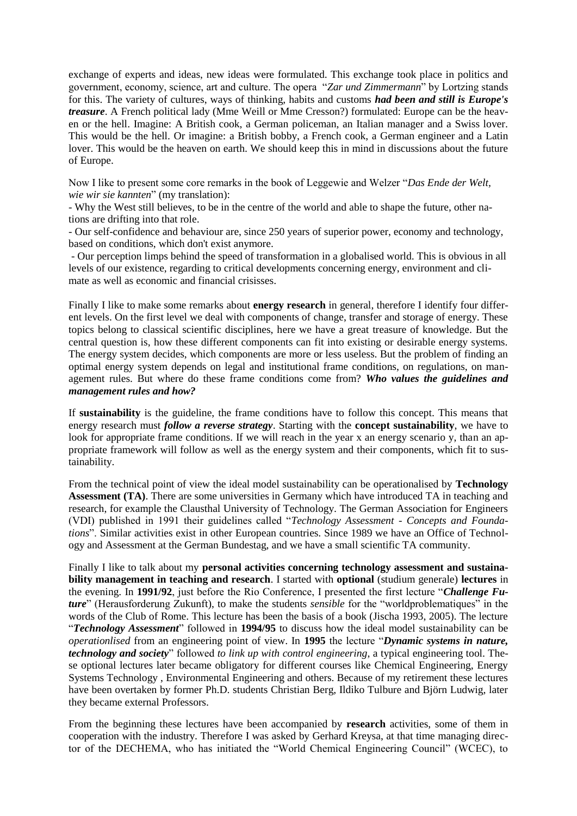exchange of experts and ideas, new ideas were formulated. This exchange took place in politics and government, economy, science, art and culture. The opera "*Zar und Zimmermann*" by Lortzing stands for this. The variety of cultures, ways of thinking, habits and customs *had been and still is Europe's treasure*. A French political lady (Mme Weill or Mme Cresson?) formulated: Europe can be the heaven or the hell. Imagine: A British cook, a German policeman, an Italian manager and a Swiss lover. This would be the hell. Or imagine: a British bobby, a French cook, a German engineer and a Latin lover. This would be the heaven on earth. We should keep this in mind in discussions about the future of Europe.

Now I like to present some core remarks in the book of Leggewie and Welzer "*Das Ende der Welt, wie wir sie kannten*" (my translation):

- Why the West still believes, to be in the centre of the world and able to shape the future, other nations are drifting into that role.

- Our self-confidence and behaviour are, since 250 years of superior power, economy and technology, based on conditions, which don't exist anymore.

- Our perception limps behind the speed of transformation in a globalised world. This is obvious in all levels of our existence, regarding to critical developments concerning energy, environment and climate as well as economic and financial crisisses.

Finally I like to make some remarks about **energy research** in general, therefore I identify four different levels. On the first level we deal with components of change, transfer and storage of energy. These topics belong to classical scientific disciplines, here we have a great treasure of knowledge. But the central question is, how these different components can fit into existing or desirable energy systems. The energy system decides, which components are more or less useless. But the problem of finding an optimal energy system depends on legal and institutional frame conditions, on regulations, on management rules. But where do these frame conditions come from? *Who values the guidelines and management rules and how?* 

If **sustainability** is the guideline, the frame conditions have to follow this concept. This means that energy research must *follow a reverse strategy*. Starting with the **concept sustainability**, we have to look for appropriate frame conditions. If we will reach in the year x an energy scenario y, than an appropriate framework will follow as well as the energy system and their components, which fit to sustainability.

From the technical point of view the ideal model sustainability can be operationalised by **Technology Assessment (TA)**. There are some universities in Germany which have introduced TA in teaching and research, for example the Clausthal University of Technology. The German Association for Engineers (VDI) published in 1991 their guidelines called "*Technology Assessment - Concepts and Foundations*". Similar activities exist in other European countries. Since 1989 we have an Office of Technology and Assessment at the German Bundestag, and we have a small scientific TA community.

Finally I like to talk about my **personal activities concerning technology assessment and sustainability management in teaching and research**. I started with **optional** (studium generale) **lectures** in the evening. In **1991/92**, just before the Rio Conference, I presented the first lecture "*Challenge Future*" (Herausforderung Zukunft), to make the students *sensible* for the "worldproblematiques" in the words of the Club of Rome. This lecture has been the basis of a book (Jischa 1993, 2005). The lecture "*Technology Assessment*" followed in **1994/95** to discuss how the ideal model sustainability can be *operationlised* from an engineering point of view. In **1995** the lecture "*Dynamic systems in nature, technology and society*" followed *to link up with control engineering*, a typical engineering tool. These optional lectures later became obligatory for different courses like Chemical Engineering, Energy Systems Technology , Environmental Engineering and others. Because of my retirement these lectures have been overtaken by former Ph.D. students Christian Berg, Ildiko Tulbure and Björn Ludwig, later they became external Professors.

From the beginning these lectures have been accompanied by **research** activities, some of them in cooperation with the industry. Therefore I was asked by Gerhard Kreysa, at that time managing director of the DECHEMA, who has initiated the "World Chemical Engineering Council" (WCEC), to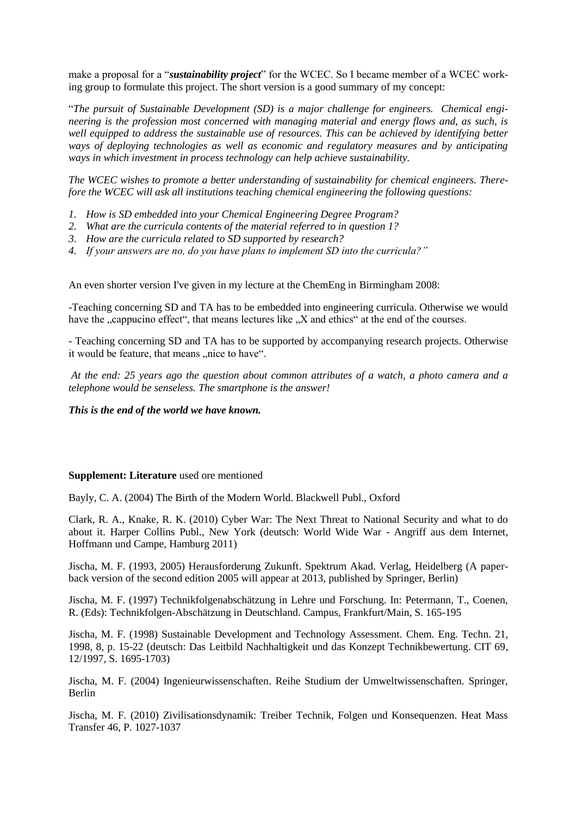make a proposal for a "*sustainability project*" for the WCEC. So I became member of a WCEC working group to formulate this project. The short version is a good summary of my concept:

"*The pursuit of Sustainable Development (SD) is a major challenge for engineers. Chemical engineering is the profession most concerned with managing material and energy flows and, as such, is well equipped to address the sustainable use of resources. This can be achieved by identifying better ways of deploying technologies as well as economic and regulatory measures and by anticipating ways in which investment in process technology can help achieve sustainability.*

*The WCEC wishes to promote a better understanding of sustainability for chemical engineers. Therefore the WCEC will ask all institutions teaching chemical engineering the following questions:*

- *1. How is SD embedded into your Chemical Engineering Degree Program?*
- *2. What are the curricula contents of the material referred to in question 1?*
- *3. How are the curricula related to SD supported by research?*
- *4. If your answers are no, do you have plans to implement SD into the curricula?"*

An even shorter version I've given in my lecture at the ChemEng in Birmingham 2008:

-Teaching concerning SD and TA has to be embedded into engineering curricula. Otherwise we would have the "cappucino effect", that means lectures like "X and ethics" at the end of the courses.

- Teaching concerning SD and TA has to be supported by accompanying research projects. Otherwise it would be feature, that means "nice to have".

*At the end: 25 years ago the question about common attributes of a watch, a photo camera and a telephone would be senseless. The smartphone is the answer!*

*This is the end of the world we have known.*

## **Supplement: Literature** used ore mentioned

Bayly, C. A. (2004) The Birth of the Modern World. Blackwell Publ., Oxford

Clark, R. A., Knake, R. K. (2010) Cyber War: The Next Threat to National Security and what to do about it. Harper Collins Publ., New York (deutsch: World Wide War - Angriff aus dem Internet, Hoffmann und Campe, Hamburg 2011)

Jischa, M. F. (1993, 2005) Herausforderung Zukunft. Spektrum Akad. Verlag, Heidelberg (A paperback version of the second edition 2005 will appear at 2013, published by Springer, Berlin)

Jischa, M. F. (1997) Technikfolgenabschätzung in Lehre und Forschung. In: Petermann, T., Coenen, R. (Eds): Technikfolgen-Abschätzung in Deutschland. Campus, Frankfurt/Main, S. 165-195

Jischa, M. F. (1998) Sustainable Development and Technology Assessment. Chem. Eng. Techn. 21, 1998, 8, p. 15-22 (deutsch: Das Leitbild Nachhaltigkeit und das Konzept Technikbewertung. CIT 69, 12/1997, S. 1695-1703)

Jischa, M. F. (2004) Ingenieurwissenschaften. Reihe Studium der Umweltwissenschaften. Springer, Berlin

Jischa, M. F. (2010) Zivilisationsdynamik: Treiber Technik, Folgen und Konsequenzen. Heat Mass Transfer 46, P. 1027-1037